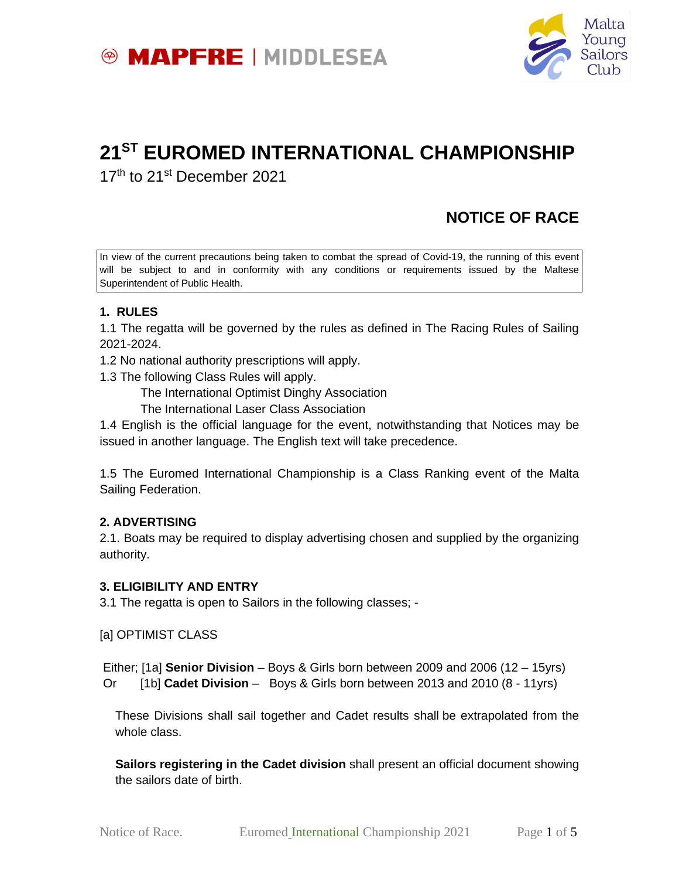



# **21ST EUROMED INTERNATIONAL CHAMPIONSHIP**

17<sup>th</sup> to 21<sup>st</sup> December 2021

# **NOTICE OF RACE**

In view of the current precautions being taken to combat the spread of Covid-19, the running of this event will be subject to and in conformity with any conditions or requirements issued by the Maltese Superintendent of Public Health.

# **1. RULES**

1.1 The regatta will be governed by the rules as defined in The Racing Rules of Sailing 2021-2024.

1.2 No national authority prescriptions will apply.

1.3 The following Class Rules will apply.

The International Optimist Dinghy Association

The International Laser Class Association

1.4 English is the official language for the event, notwithstanding that Notices may be issued in another language. The English text will take precedence.

1.5 The Euromed International Championship is a Class Ranking event of the Malta Sailing Federation.

# **2. ADVERTISING**

2.1. Boats may be required to display advertising chosen and supplied by the organizing authority.

#### **3. ELIGIBILITY AND ENTRY**

3.1 The regatta is open to Sailors in the following classes; -

[a] OPTIMIST CLASS

Either; [1a] **Senior Division** – Boys & Girls born between 2009 and 2006 (12 – 15yrs) Or [1b] **Cadet Division** – Boys & Girls born between 2013 and 2010 (8 - 11yrs)

These Divisions shall sail together and Cadet results shall be extrapolated from the whole class.

**Sailors registering in the Cadet division** shall present an official document showing the sailors date of birth.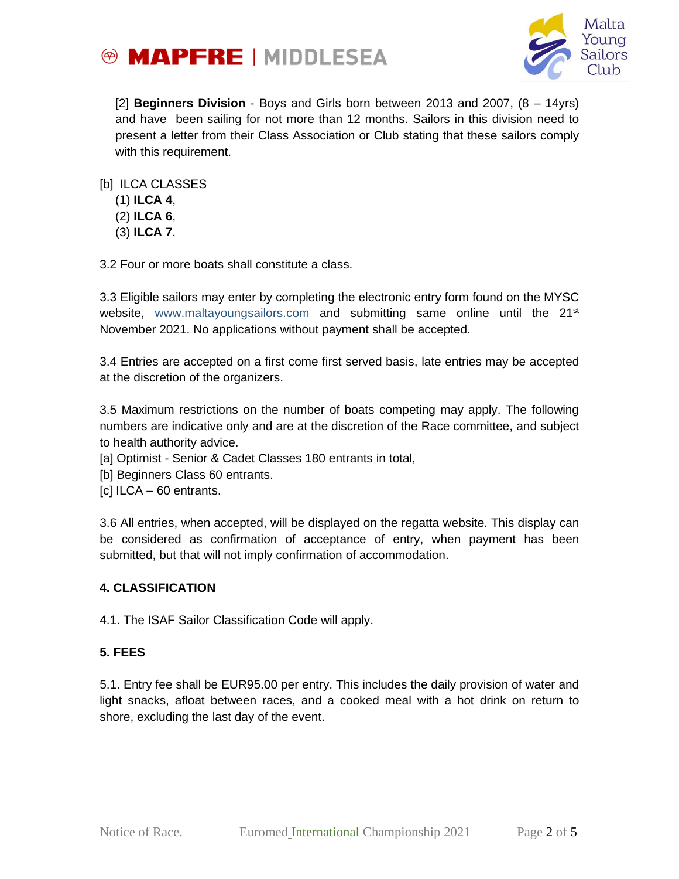



[2] **Beginners Division** - Boys and Girls born between 2013 and 2007, (8 – 14yrs) and have been sailing for not more than 12 months. Sailors in this division need to present a letter from their Class Association or Club stating that these sailors comply with this requirement.

[b] ILCA CLASSES

- (1) **ILCA 4**,
- (2) **ILCA 6**,
- (3) **ILCA 7**.

3.2 Four or more boats shall constitute a class.

3.3 Eligible sailors may enter by completing the electronic entry form found on the MYSC website, [www.maltayoungsailors.com](http://www.maltayoungsailors.com/) and submitting same online until the 21<sup>st</sup> November 2021. No applications without payment shall be accepted.

3.4 Entries are accepted on a first come first served basis, late entries may be accepted at the discretion of the organizers.

3.5 Maximum restrictions on the number of boats competing may apply. The following numbers are indicative only and are at the discretion of the Race committee, and subject to health authority advice.

- [a] Optimist Senior & Cadet Classes 180 entrants in total,
- [b] Beginners Class 60 entrants.
- [c] ILCA 60 entrants.

3.6 All entries, when accepted, will be displayed on the regatta website. This display can be considered as confirmation of acceptance of entry, when payment has been submitted, but that will not imply confirmation of accommodation.

#### **4. CLASSIFICATION**

4.1. The ISAF Sailor Classification Code will apply.

#### **5. FEES**

5.1. Entry fee shall be EUR95.00 per entry. This includes the daily provision of water and light snacks, afloat between races, and a cooked meal with a hot drink on return to shore, excluding the last day of the event.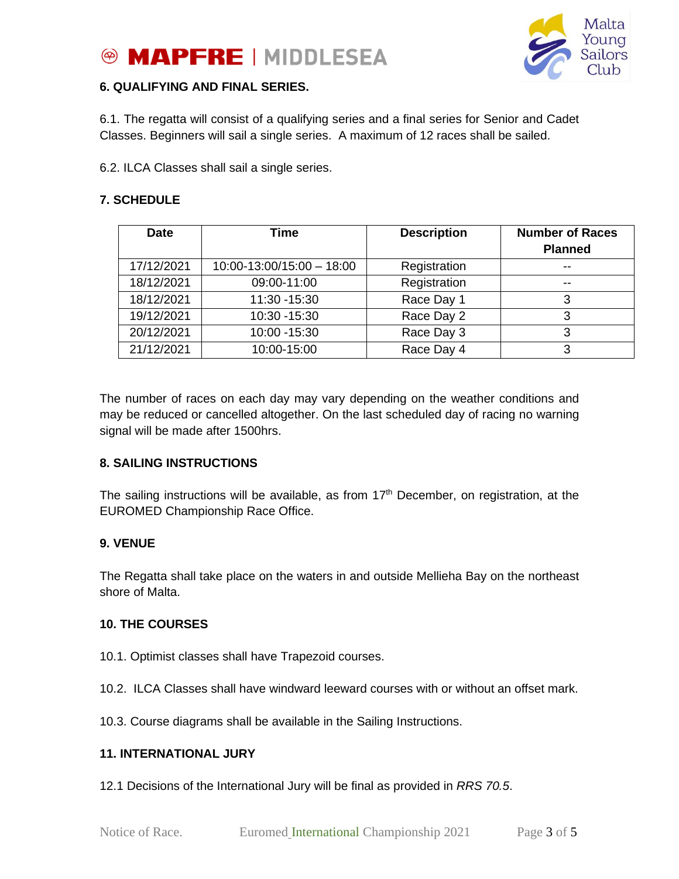



#### **6. QUALIFYING AND FINAL SERIES.**

6.1. The regatta will consist of a qualifying series and a final series for Senior and Cadet Classes. Beginners will sail a single series. A maximum of 12 races shall be sailed.

6.2. ILCA Classes shall sail a single series.

### **7. SCHEDULE**

| <b>Date</b> | Time                      | <b>Description</b> | <b>Number of Races</b><br><b>Planned</b> |
|-------------|---------------------------|--------------------|------------------------------------------|
| 17/12/2021  | $10:00-13:00/15:00-18:00$ | Registration       | --                                       |
| 18/12/2021  | 09:00-11:00               | Registration       | --                                       |
| 18/12/2021  | 11:30 - 15:30             | Race Day 1         | 3                                        |
| 19/12/2021  | 10:30 - 15:30             | Race Day 2         | 3                                        |
| 20/12/2021  | 10:00 - 15:30             | Race Day 3         | 2                                        |
| 21/12/2021  | 10:00-15:00               | Race Day 4         | 3                                        |

The number of races on each day may vary depending on the weather conditions and may be reduced or cancelled altogether. On the last scheduled day of racing no warning signal will be made after 1500hrs.

#### **8. SAILING INSTRUCTIONS**

The sailing instructions will be available, as from  $17<sup>th</sup>$  December, on registration, at the EUROMED Championship Race Office.

#### **9. VENUE**

The Regatta shall take place on the waters in and outside Mellieha Bay on the northeast shore of Malta.

#### **10. THE COURSES**

- 10.1. Optimist classes shall have Trapezoid courses.
- 10.2. ILCA Classes shall have windward leeward courses with or without an offset mark.
- 10.3. Course diagrams shall be available in the Sailing Instructions.

#### **11. INTERNATIONAL JURY**

12.1 Decisions of the International Jury will be final as provided in *RRS 70.5*.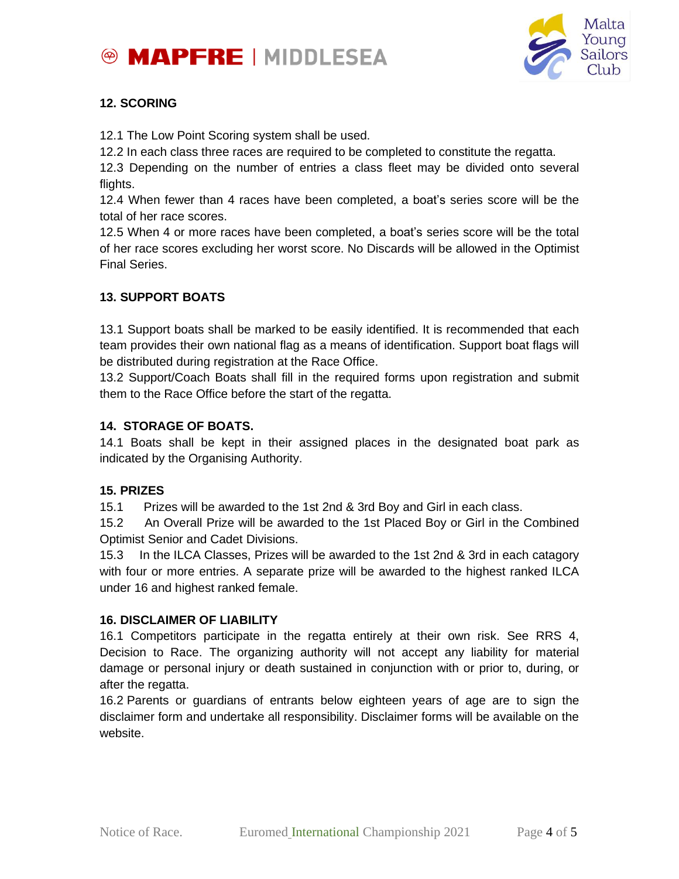



# **12. SCORING**

12.1 The Low Point Scoring system shall be used.

12.2 In each class three races are required to be completed to constitute the regatta.

12.3 Depending on the number of entries a class fleet may be divided onto several flights.

12.4 When fewer than 4 races have been completed, a boat's series score will be the total of her race scores.

12.5 When 4 or more races have been completed, a boat's series score will be the total of her race scores excluding her worst score. No Discards will be allowed in the Optimist Final Series.

# **13. SUPPORT BOATS**

13.1 Support boats shall be marked to be easily identified. It is recommended that each team provides their own national flag as a means of identification. Support boat flags will be distributed during registration at the Race Office.

13.2 Support/Coach Boats shall fill in the required forms upon registration and submit them to the Race Office before the start of the regatta.

#### **14. STORAGE OF BOATS.**

14.1 Boats shall be kept in their assigned places in the designated boat park as indicated by the Organising Authority.

#### **15. PRIZES**

15.1 Prizes will be awarded to the 1st 2nd & 3rd Boy and Girl in each class.

15.2 An Overall Prize will be awarded to the 1st Placed Boy or Girl in the Combined Optimist Senior and Cadet Divisions.

15.3 In the ILCA Classes, Prizes will be awarded to the 1st 2nd & 3rd in each catagory with four or more entries. A separate prize will be awarded to the highest ranked ILCA under 16 and highest ranked female.

#### **16. DISCLAIMER OF LIABILITY**

16.1 Competitors participate in the regatta entirely at their own risk. See RRS 4, Decision to Race. The organizing authority will not accept any liability for material damage or personal injury or death sustained in conjunction with or prior to, during, or after the regatta.

16.2 Parents or guardians of entrants below eighteen years of age are to sign the disclaimer form and undertake all responsibility. Disclaimer forms will be available on the website.